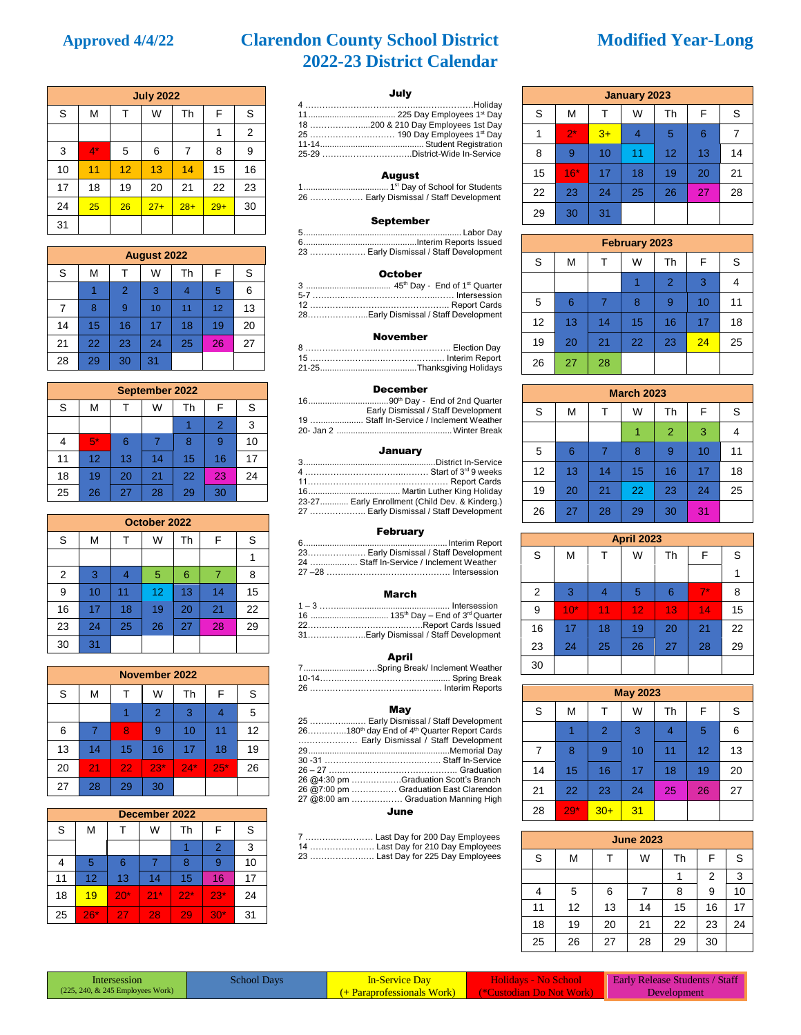# **Approved 4/4/22 Clarendon County School District Modified Year-Long 2022-23 District Calendar**

|    |       |    | <b>July 2022</b> |       |       |                |
|----|-------|----|------------------|-------|-------|----------------|
| S  | M     | т  | W                | Th    | F     | S              |
|    |       |    |                  |       | 1     | $\overline{2}$ |
| 3  | $4^*$ | 5  | 6                | 7     | 8     | 9              |
| 10 | 11    | 12 | 13               | 14    | 15    | 16             |
| 17 | 18    | 19 | 20               | 21    | 22    | 23             |
| 24 | 25    | 26 | $27+$            | $28+$ | $29+$ | 30             |
| 31 |       |    |                  |       |       |                |

|    | <b>August 2022</b> |                |    |    |    |    |
|----|--------------------|----------------|----|----|----|----|
| S  | M                  |                | W  | Th | F  | S  |
|    |                    | $\overline{2}$ | 3  | 4  | 5  | 6  |
| 7  | 8                  | 9              | 10 | 11 | 12 | 13 |
| 14 | 15                 | 16             | 17 | 18 | 19 | 20 |
| 21 | 22                 | 23             | 24 | 25 | 26 | 27 |
| 28 | 29                 | 30             | 31 |    |    |    |

|    |      |    | September 2022 |    |                |    |
|----|------|----|----------------|----|----------------|----|
| S  | М    |    | W              | Th | F              | S  |
|    |      |    |                |    | $\overline{2}$ | 3  |
|    | $5*$ | 6  |                | 8  | 9              | 10 |
| 11 | 12   | 13 | 14             | 15 | 16             | 17 |
| 18 | 19   | 20 | 21             | 22 | 23             | 24 |
| 25 | 26   | 27 | 28             | 29 | 30             |    |

|                | October 2022 |                |    |    |    |    |
|----------------|--------------|----------------|----|----|----|----|
| S              | М            | т              | W  | Th | F  | S  |
|                |              |                |    |    |    |    |
| $\overline{2}$ | 3            | $\overline{4}$ | 5  | 6  | 7  | 8  |
| 9              | 10           | 11             | 12 | 13 | 14 | 15 |
| 16             | 17           | 18             | 19 | 20 | 21 | 22 |
| 23             | 24           | 25             | 26 | 27 | 28 | 29 |
| 30             | 31           |                |    |    |    |    |

|    |    |    | November 2022  |       |        |    |
|----|----|----|----------------|-------|--------|----|
| S  | М  | т  | W              | Th    | F      | S  |
|    |    |    | $\overline{2}$ | 3     |        | 5  |
| 6  |    | 8  | 9              | 10    | 11     | 12 |
| 13 | 14 | 15 | 16             | 17    | 18     | 19 |
| 20 | 21 | 22 | $23*$          | $24*$ | $25^*$ | 26 |
| 27 | 28 | 29 | 30             |       |        |    |

|    |                   |       | December 2022 |       |       |    |
|----|-------------------|-------|---------------|-------|-------|----|
| S  | М                 |       | W             | Th    | F     | S  |
|    |                   |       |               |       | 2     | 3  |
|    | 5                 | 6     |               | 8     | 9     | 10 |
| 11 | $12 \overline{ }$ | 13    | 14            | 15    | 16    | 17 |
| 18 | 19                | $20*$ | $21*$         | $22*$ | $23*$ | 24 |
| 25 | $26*$             | 27    | 28            | 29    | $30*$ | 31 |

## July

### August

1.................................... 1 st Day of School for Students 26 ……….……… Early Dismissal / Staff Development

### September

| _______                                 |
|-----------------------------------------|
|                                         |
|                                         |
| 23  Early Dismissal / Staff Development |

#### October

| 28Early Dismissal / Staff Development |
|---------------------------------------|
|                                       |

#### November

#### December

| Early Dismissal / Staff Development      |
|------------------------------------------|
| 19  Staff In-Service / Inclement Weather |
|                                          |

#### January

| 23-27 Early Enrollment (Child Dev. & Kinderg.) |
|------------------------------------------------|
| 27  Early Dismissal / Staff Development        |
|                                                |

#### February

| 23 Early Dismissal / Staff Development   |
|------------------------------------------|
| 24  Staff In-Service / Inclement Weather |
|                                          |
|                                          |

#### March

| 31Early Dismissal / Staff Development |
|---------------------------------------|

#### April

| 7Spring Break/ Inclement Weather |
|----------------------------------|
|                                  |
|                                  |

#### May

| 25  Early Dismissal / Staff Development                             |
|---------------------------------------------------------------------|
| 26180 <sup>th</sup> day End of 4 <sup>th</sup> Quarter Report Cards |
| Early Dismissal / Staff Development                                 |
|                                                                     |
|                                                                     |
|                                                                     |
| 26 @4:30 pm Graduation Scott's Branch                               |
| 26 @7:00 pm  Graduation East Clarendon                              |
| 27 @8:00 am  Graduation Manning High                                |
| June                                                                |

7 …………………… Last Day for 200 Day Employees 14 ……………….…. Last Day for 210 Day Employees 23 ……………….…. Last Day for 225 Day Employees

| <b>January 2023</b> |       |      |    |    |    |    |  |  |
|---------------------|-------|------|----|----|----|----|--|--|
| S                   | м     | Т    | W  | Th | F  | S  |  |  |
|                     | $2^*$ | $3+$ | 4  | 5  | 6  |    |  |  |
| 8                   | 9     | 10   | 11 | 12 | 13 | 14 |  |  |
| 15                  | $16*$ | 17   | 18 | 19 | 20 | 21 |  |  |
| 22                  | 23    | 24   | 25 | 26 | 27 | 28 |  |  |
| 29                  | 30    | 31   |    |    |    |    |  |  |

| February 2023 |    |    |    |                |    |    |  |  |  |
|---------------|----|----|----|----------------|----|----|--|--|--|
| S             | М  | т  | W  | Th             | F  | S  |  |  |  |
|               |    |    |    | $\overline{2}$ | 3  |    |  |  |  |
| 5             | 6  | 7  | 8  | 9              | 10 | 11 |  |  |  |
| 12            | 13 | 14 | 15 | 16             | 17 | 18 |  |  |  |
| 19            | 20 | 21 | 22 | 23             | 24 | 25 |  |  |  |
| 26            | 27 | 28 |    |                |    |    |  |  |  |

| <b>March 2023</b> |    |    |    |                |    |    |  |  |
|-------------------|----|----|----|----------------|----|----|--|--|
| $\mathbf S$       | м  |    | W  | Th             | F  | S  |  |  |
|                   |    |    |    | $\overline{2}$ | 3  |    |  |  |
| 5                 | 6  | 7  | 8  | 9              | 10 | 11 |  |  |
| 12                | 13 | 14 | 15 | 16             | 17 | 18 |  |  |
| 19                | 20 | 21 | 22 | 23             | 24 | 25 |  |  |
| 26                | 27 | 28 | 29 | 30             | 31 |    |  |  |

| <b>April 2023</b> |       |    |    |    |             |    |  |  |
|-------------------|-------|----|----|----|-------------|----|--|--|
| S                 | М     | т  | W  | Th | F           | S  |  |  |
|                   |       |    |    |    |             | 1  |  |  |
| 2                 | 3     | 4  | 5  | 6  | $7^{\star}$ | 8  |  |  |
| 9                 | $10*$ | 11 | 12 | 13 | 14          | 15 |  |  |
| 16                | 17    | 18 | 19 | 20 | 21          | 22 |  |  |
| 23                | 24    | 25 | 26 | 27 | 28          | 29 |  |  |
| 30                |       |    |    |    |             |    |  |  |

| <b>May 2023</b> |       |                |    |    |    |    |  |  |
|-----------------|-------|----------------|----|----|----|----|--|--|
| S               | М     | Τ              | W  | Th | F  | S  |  |  |
|                 |       | $\overline{2}$ | 3  | 4  | 5  | 6  |  |  |
| 7               | 8     | 9              | 10 | 11 | 12 | 13 |  |  |
| 14              | 15    | 16             | 17 | 18 | 19 | 20 |  |  |
| 21              | 22    | 23             | 24 | 25 | 26 | 27 |  |  |
| 28              | $29*$ | $30+$          | 31 |    |    |    |  |  |

| <b>June 2023</b> |    |    |    |    |    |    |  |  |
|------------------|----|----|----|----|----|----|--|--|
| S                | м  |    | W  | Th | F  | S  |  |  |
|                  |    |    |    |    | 2  | 3  |  |  |
| 4                | 5  | 6  |    | 8  | 9  | 10 |  |  |
| 11               | 12 | 13 | 14 | 15 | 16 | 17 |  |  |
| 18               | 19 | 20 | 21 | 22 | 23 | 24 |  |  |
| 25               | 26 | 27 | 28 | 29 | 30 |    |  |  |

| Intersession                     |  |
|----------------------------------|--|
| (225, 240, & 245 Employees Work) |  |